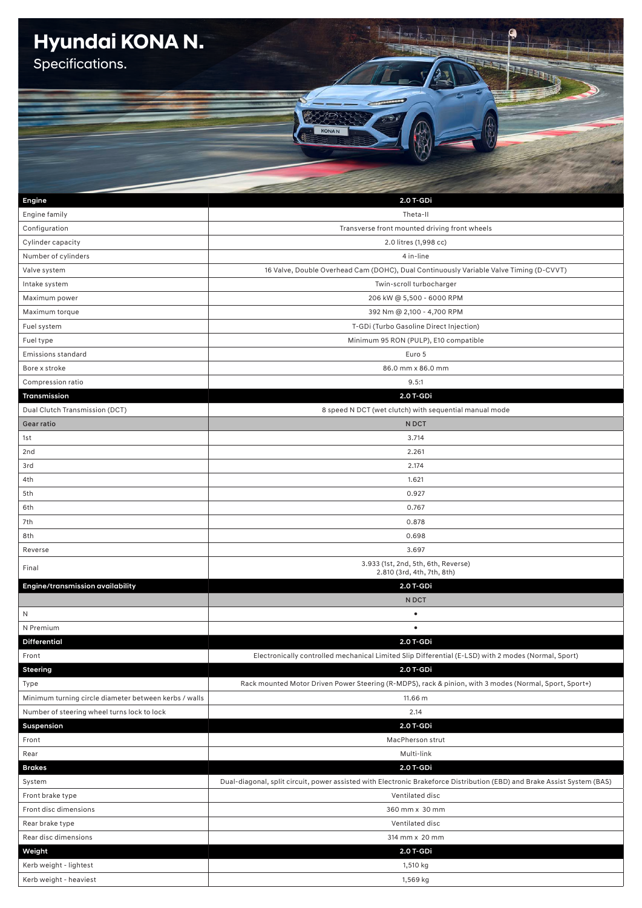## **Hyundai KONA N.**

Specifications.

| Engine                                                | 2.0 T-GDi                                                                                                                |  |
|-------------------------------------------------------|--------------------------------------------------------------------------------------------------------------------------|--|
| Engine family                                         | Theta-II                                                                                                                 |  |
| Configuration                                         | Transverse front mounted driving front wheels                                                                            |  |
| Cylinder capacity                                     | 2.0 litres (1,998 cc)                                                                                                    |  |
| Number of cylinders                                   | 4 in-line                                                                                                                |  |
| Valve system                                          | 16 Valve, Double Overhead Cam (DOHC), Dual Continuously Variable Valve Timing (D-CVVT)                                   |  |
| Intake system                                         | Twin-scroll turbocharger                                                                                                 |  |
| Maximum power                                         | 206 kW @ 5,500 - 6000 RPM                                                                                                |  |
| Maximum torque                                        | 392 Nm @ 2,100 - 4,700 RPM                                                                                               |  |
| Fuel system                                           | T-GDi (Turbo Gasoline Direct Injection)                                                                                  |  |
| Fuel type                                             | Minimum 95 RON (PULP), E10 compatible                                                                                    |  |
| <b>Emissions standard</b>                             | Euro 5                                                                                                                   |  |
| Bore x stroke                                         | 86.0 mm x 86.0 mm                                                                                                        |  |
| Compression ratio                                     | 9.5:1                                                                                                                    |  |
| Transmission                                          | 2.0 T-GDi                                                                                                                |  |
| Dual Clutch Transmission (DCT)                        | 8 speed N DCT (wet clutch) with sequential manual mode                                                                   |  |
| Gear ratio                                            | N DCT                                                                                                                    |  |
| 1st                                                   | 3.714                                                                                                                    |  |
| 2nd                                                   | 2.261                                                                                                                    |  |
| 3rd                                                   | 2.174                                                                                                                    |  |
| 4th                                                   | 1.621                                                                                                                    |  |
| 5th                                                   | 0.927                                                                                                                    |  |
| 6th                                                   | 0.767                                                                                                                    |  |
| 7th                                                   | 0.878                                                                                                                    |  |
| 8th                                                   | 0.698                                                                                                                    |  |
| Reverse                                               | 3.697                                                                                                                    |  |
| Final                                                 | 3.933 (1st, 2nd, 5th, 6th, Reverse)                                                                                      |  |
|                                                       | 2.810 (3rd, 4th, 7th, 8th)                                                                                               |  |
| Engine/transmission availability                      | 2.0 T-GDi                                                                                                                |  |
|                                                       | N DCT                                                                                                                    |  |
| N                                                     | $\bullet$                                                                                                                |  |
| N Premium                                             |                                                                                                                          |  |
| <b>Differential</b>                                   | 2.0 T-GDi                                                                                                                |  |
| Front                                                 | Electronically controlled mechanical Limited Slip Differential (E-LSD) with 2 modes (Normal, Sport)                      |  |
| <b>Steering</b>                                       | 2.0 T-GDi                                                                                                                |  |
| Type                                                  | Rack mounted Motor Driven Power Steering (R-MDPS), rack & pinion, with 3 modes (Normal, Sport, Sport+)                   |  |
| Minimum turning circle diameter between kerbs / walls | 11.66 m                                                                                                                  |  |
| Number of steering wheel turns lock to lock           | 2.14                                                                                                                     |  |
| Suspension                                            | 2.0 T-GDi                                                                                                                |  |
| Front                                                 | MacPherson strut                                                                                                         |  |
| Rear                                                  | Multi-link                                                                                                               |  |
| <b>Brakes</b>                                         | 2.0 T-GDi                                                                                                                |  |
| System                                                | Dual-diagonal, split circuit, power assisted with Electronic Brakeforce Distribution (EBD) and Brake Assist System (BAS) |  |
| Front brake type                                      | Ventilated disc                                                                                                          |  |
| Front disc dimensions                                 | 360 mm x 30 mm                                                                                                           |  |
| Rear brake type                                       | Ventilated disc                                                                                                          |  |
| Rear disc dimensions                                  | 314 mm x 20 mm                                                                                                           |  |
| Weight                                                | 2.0 T-GDi                                                                                                                |  |
| Kerb weight - lightest                                | 1,510 kg                                                                                                                 |  |
| Kerb weight - heaviest                                | 1,569 kg                                                                                                                 |  |

**KONAN** 

EEEEE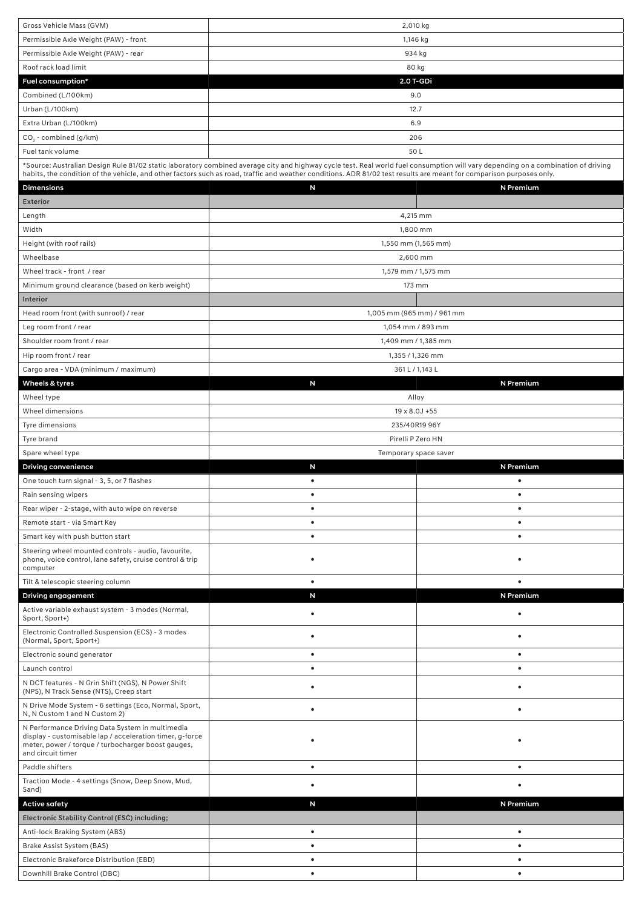| Gross Vehicle Mass (GVM)                                                                                                                                                               | 2,010 kg                                                                                                                                                                          |                |
|----------------------------------------------------------------------------------------------------------------------------------------------------------------------------------------|-----------------------------------------------------------------------------------------------------------------------------------------------------------------------------------|----------------|
| Permissible Axle Weight (PAW) - front                                                                                                                                                  | 1,146 kg                                                                                                                                                                          |                |
| Permissible Axle Weight (PAW) - rear                                                                                                                                                   |                                                                                                                                                                                   |                |
| Roof rack load limit                                                                                                                                                                   | 934 kg<br>80 kg                                                                                                                                                                   |                |
| Fuel consumption*                                                                                                                                                                      | 2.0 T-GDi                                                                                                                                                                         |                |
| Combined (L/100km)                                                                                                                                                                     | 9.0                                                                                                                                                                               |                |
| Urban (L/100km)                                                                                                                                                                        | 12.7                                                                                                                                                                              |                |
| Extra Urban (L/100km)                                                                                                                                                                  | 6.9                                                                                                                                                                               |                |
| $CO2$ - combined (g/km)                                                                                                                                                                | 206                                                                                                                                                                               |                |
| Fuel tank volume                                                                                                                                                                       | 50L                                                                                                                                                                               |                |
|                                                                                                                                                                                        | *Source: Australian Design Rule 81/02 static laboratory combined average city and highway cycle test. Real world fuel consumption will vary depending on a combination of driving |                |
|                                                                                                                                                                                        | habits, the condition of the vehicle, and other factors such as road, traffic and weather conditions. ADR 81/02 test results are meant for comparison purposes only.              |                |
| <b>Dimensions</b>                                                                                                                                                                      | N                                                                                                                                                                                 | N Premium      |
| <b>Exterior</b>                                                                                                                                                                        |                                                                                                                                                                                   |                |
| Length                                                                                                                                                                                 | 4,215 mm                                                                                                                                                                          |                |
| Width                                                                                                                                                                                  | 1,800 mm                                                                                                                                                                          |                |
| Height (with roof rails)                                                                                                                                                               | 1,550 mm (1,565 mm)                                                                                                                                                               |                |
| Wheelbase                                                                                                                                                                              | 2,600 mm                                                                                                                                                                          |                |
| Wheel track - front / rear                                                                                                                                                             | 1,579 mm / 1,575 mm                                                                                                                                                               |                |
| Minimum ground clearance (based on kerb weight)                                                                                                                                        | 173 mm                                                                                                                                                                            |                |
| Interior                                                                                                                                                                               |                                                                                                                                                                                   |                |
| Head room front (with sunroof) / rear                                                                                                                                                  | 1,005 mm (965 mm) / 961 mm                                                                                                                                                        |                |
| Leg room front / rear                                                                                                                                                                  | 1,054 mm / 893 mm                                                                                                                                                                 |                |
| Shoulder room front / rear                                                                                                                                                             | 1,409 mm / 1,385 mm                                                                                                                                                               |                |
| Hip room front / rear                                                                                                                                                                  | 1,355 / 1,326 mm                                                                                                                                                                  |                |
| Cargo area - VDA (minimum / maximum)                                                                                                                                                   | 361 L / 1,143 L                                                                                                                                                                   |                |
| Wheels & tyres                                                                                                                                                                         | N                                                                                                                                                                                 | N Premium      |
| Wheel type                                                                                                                                                                             | Alloy                                                                                                                                                                             |                |
| Wheel dimensions                                                                                                                                                                       | 19 x 8.0J +55                                                                                                                                                                     |                |
| Tyre dimensions                                                                                                                                                                        | 235/40R19 96Y                                                                                                                                                                     |                |
| Tyre brand                                                                                                                                                                             | Pirelli P Zero HN                                                                                                                                                                 |                |
|                                                                                                                                                                                        | Temporary space saver                                                                                                                                                             |                |
| Spare wheel type                                                                                                                                                                       |                                                                                                                                                                                   |                |
| <b>Driving convenience</b>                                                                                                                                                             | N                                                                                                                                                                                 | N Premium      |
| One touch turn signal - 3, 5, or 7 flashes                                                                                                                                             | ٠                                                                                                                                                                                 | ٠              |
| Rain sensing wipers                                                                                                                                                                    | $\bullet$                                                                                                                                                                         | $\bullet$      |
| Rear wiper - 2-stage, with auto wipe on reverse                                                                                                                                        | $\bullet$                                                                                                                                                                         | $\bullet$      |
| Remote start - via Smart Key                                                                                                                                                           | $\bullet$                                                                                                                                                                         | $\bullet$      |
| Smart key with push button start                                                                                                                                                       | $\bullet$                                                                                                                                                                         | $\bullet$      |
| Steering wheel mounted controls - audio, favourite,<br>phone, voice control, lane safety, cruise control & trip<br>computer                                                            |                                                                                                                                                                                   |                |
| Tilt & telescopic steering column                                                                                                                                                      | $\bullet$                                                                                                                                                                         | $\bullet$      |
| <b>Driving engagement</b>                                                                                                                                                              | N                                                                                                                                                                                 | N Premium      |
| Active variable exhaust system - 3 modes (Normal,<br>Sport, Sport+)                                                                                                                    | ٠                                                                                                                                                                                 |                |
| Electronic Controlled Suspension (ECS) - 3 modes<br>(Normal, Sport, Sport+)                                                                                                            | $\bullet$                                                                                                                                                                         |                |
| Electronic sound generator                                                                                                                                                             | $\bullet$                                                                                                                                                                         | ٠              |
| Launch control                                                                                                                                                                         | $\bullet$                                                                                                                                                                         | $\bullet$      |
| N DCT features - N Grin Shift (NGS), N Power Shift<br>(NPS), N Track Sense (NTS), Creep start                                                                                          | $\bullet$                                                                                                                                                                         | $\bullet$      |
| N Drive Mode System - 6 settings (Eco, Normal, Sport,<br>N, N Custom 1 and N Custom 2)                                                                                                 | $\bullet$                                                                                                                                                                         | ٠              |
| N Performance Driving Data System in multimedia<br>display - customisable lap / acceleration timer, g-force<br>meter, power / torque / turbocharger boost gauges,<br>and circuit timer |                                                                                                                                                                                   |                |
| Paddle shifters                                                                                                                                                                        | $\bullet$                                                                                                                                                                         |                |
| Traction Mode - 4 settings (Snow, Deep Snow, Mud,                                                                                                                                      |                                                                                                                                                                                   |                |
| Sand)                                                                                                                                                                                  |                                                                                                                                                                                   |                |
| <b>Active safety</b>                                                                                                                                                                   | N                                                                                                                                                                                 | N Premium      |
| Electronic Stability Control (ESC) including;                                                                                                                                          |                                                                                                                                                                                   |                |
| Anti-lock Braking System (ABS)                                                                                                                                                         | $\bullet$                                                                                                                                                                         | $\bullet$      |
| Brake Assist System (BAS)<br>Electronic Brakeforce Distribution (EBD)                                                                                                                  | $\bullet$<br>$\bullet$                                                                                                                                                            | $\bullet$<br>٠ |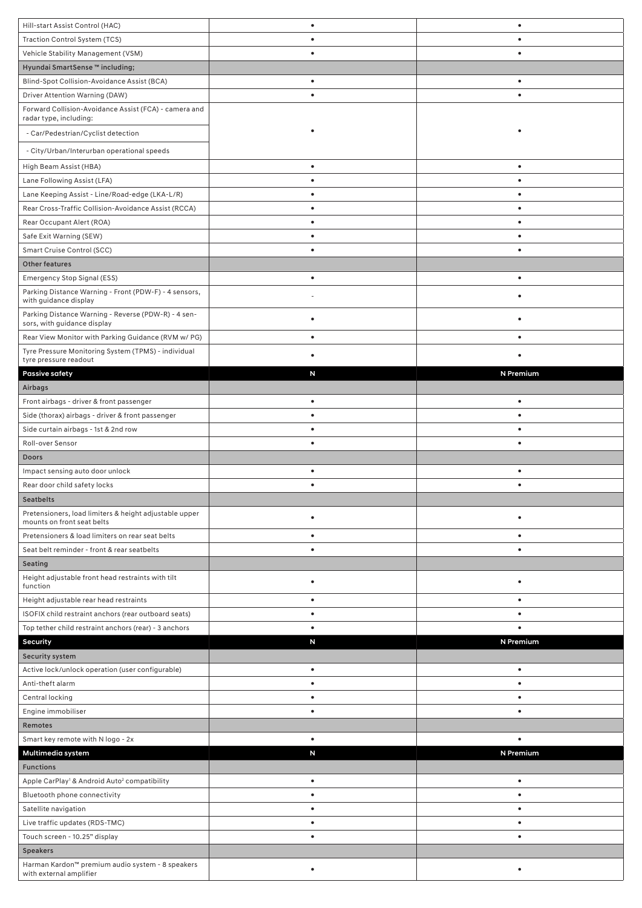| Hill-start Assist Control (HAC)                                                      | $\bullet$ | $\bullet$ |
|--------------------------------------------------------------------------------------|-----------|-----------|
| Traction Control System (TCS)                                                        |           |           |
| Vehicle Stability Management (VSM)                                                   |           |           |
| Hyundai SmartSense ™ including;                                                      |           |           |
| Blind-Spot Collision-Avoidance Assist (BCA)                                          |           |           |
| Driver Attention Warning (DAW)                                                       |           |           |
| Forward Collision-Avoidance Assist (FCA) - camera and<br>radar type, including:      |           |           |
| - Car/Pedestrian/Cyclist detection                                                   |           |           |
|                                                                                      |           |           |
| - City/Urban/Interurban operational speeds                                           |           |           |
| High Beam Assist (HBA)                                                               |           |           |
| Lane Following Assist (LFA)                                                          |           |           |
| Lane Keeping Assist - Line/Road-edge (LKA-L/R)                                       |           | ٠         |
| Rear Cross-Traffic Collision-Avoidance Assist (RCCA)                                 |           |           |
| Rear Occupant Alert (ROA)                                                            | $\bullet$ | ٠         |
| Safe Exit Warning (SEW)                                                              | ٠         |           |
| Smart Cruise Control (SCC)                                                           | $\bullet$ | ٠         |
| Other features                                                                       |           |           |
| Emergency Stop Signal (ESS)                                                          | $\bullet$ | $\bullet$ |
| Parking Distance Warning - Front (PDW-F) - 4 sensors,<br>with guidance display       |           |           |
| Parking Distance Warning - Reverse (PDW-R) - 4 sen-<br>sors, with guidance display   |           |           |
| Rear View Monitor with Parking Guidance (RVM w/ PG)                                  |           |           |
| Tyre Pressure Monitoring System (TPMS) - individual                                  |           |           |
| tyre pressure readout                                                                |           |           |
| <b>Passive safety</b>                                                                | N         | N Premium |
| Airbags                                                                              |           |           |
| Front airbags - driver & front passenger                                             |           | ٠         |
| Side (thorax) airbags - driver & front passenger                                     |           |           |
| Side curtain airbags - 1st & 2nd row                                                 | ٠         | ٠         |
| Roll-over Sensor                                                                     | $\bullet$ | ٠         |
|                                                                                      |           |           |
| <b>Doors</b>                                                                         |           |           |
| Impact sensing auto door unlock                                                      |           |           |
| Rear door child safety locks                                                         | $\bullet$ | $\bullet$ |
| <b>Seatbelts</b>                                                                     |           |           |
| Pretensioners, load limiters & height adjustable upper<br>mounts on front seat belts |           |           |
| Pretensioners & load limiters on rear seat belts                                     | ٠         | ٠         |
| Seat belt reminder - front & rear seatbelts                                          | $\bullet$ |           |
| Seating                                                                              |           |           |
| Height adjustable front head restraints with tilt<br>function                        | ٠         |           |
| Height adjustable rear head restraints                                               | $\bullet$ | ٠         |
| ISOFIX child restraint anchors (rear outboard seats)                                 | $\bullet$ | ٠         |
| Top tether child restraint anchors (rear) - 3 anchors                                | ٠         |           |
| Security                                                                             | N         | N Premium |
| <b>Security system</b>                                                               |           |           |
| Active lock/unlock operation (user configurable)                                     | ٠         | ٠         |
| Anti-theft alarm                                                                     | $\bullet$ | ٠         |
| Central locking                                                                      | $\bullet$ | ٠         |
| Engine immobiliser                                                                   | $\bullet$ | ٠         |
| Remotes                                                                              |           |           |
| Smart key remote with N logo - 2x                                                    | $\bullet$ | $\bullet$ |
| Multimedia system                                                                    | N         | N Premium |
| <b>Functions</b>                                                                     |           |           |
| Apple CarPlay <sup>1</sup> & Android Auto <sup>2</sup> compatibility                 | $\bullet$ |           |
| Bluetooth phone connectivity                                                         | $\bullet$ | ٠         |
| Satellite navigation                                                                 | $\bullet$ | ٠         |
| Live traffic updates (RDS-TMC)                                                       | $\bullet$ | ٠         |
| Touch screen - 10.25" display                                                        | $\bullet$ | ٠         |
| <b>Speakers</b>                                                                      |           |           |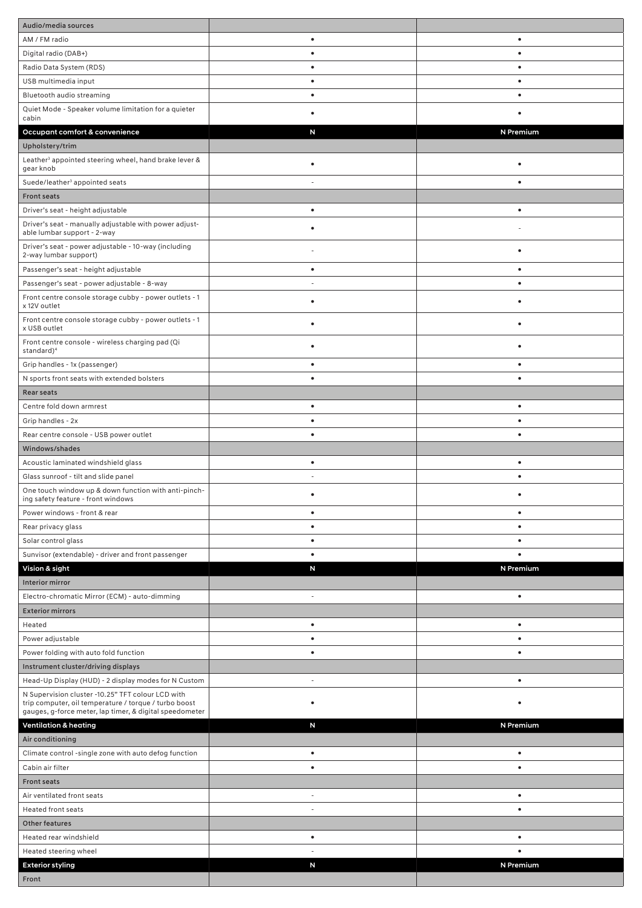| Audio/media sources                                                                                                                                                   |                          |           |
|-----------------------------------------------------------------------------------------------------------------------------------------------------------------------|--------------------------|-----------|
| AM / FM radio                                                                                                                                                         | $\bullet$                | $\bullet$ |
| Digital radio (DAB+)                                                                                                                                                  | ٠                        | $\bullet$ |
| Radio Data System (RDS)                                                                                                                                               | $\bullet$                | $\bullet$ |
| USB multimedia input                                                                                                                                                  | ٠                        |           |
| Bluetooth audio streaming                                                                                                                                             | ٠                        | $\bullet$ |
| Quiet Mode - Speaker volume limitation for a quieter<br>cabin                                                                                                         |                          |           |
| Occupant comfort & convenience                                                                                                                                        | N                        | N Premium |
| Upholstery/trim                                                                                                                                                       |                          |           |
| Leather <sup>3</sup> appointed steering wheel, hand brake lever &<br>gear knob                                                                                        | $\bullet$                | $\bullet$ |
| Suede/leather <sup>3</sup> appointed seats                                                                                                                            |                          | $\bullet$ |
| <b>Front seats</b>                                                                                                                                                    |                          |           |
| Driver's seat - height adjustable                                                                                                                                     | $\bullet$                | $\bullet$ |
| Driver's seat - manually adjustable with power adjust-<br>able lumbar support - 2-way                                                                                 |                          |           |
| Driver's seat - power adjustable - 10-way (including<br>2-way lumbar support)                                                                                         |                          | $\bullet$ |
| Passenger's seat - height adjustable                                                                                                                                  | $\bullet$                | $\bullet$ |
| Passenger's seat - power adjustable - 8-way                                                                                                                           |                          | $\bullet$ |
| Front centre console storage cubby - power outlets - 1<br>x 12V outlet                                                                                                |                          |           |
| Front centre console storage cubby - power outlets - 1<br>x USB outlet                                                                                                |                          |           |
| Front centre console - wireless charging pad (Qi<br>standard) <sup>4</sup>                                                                                            |                          |           |
| Grip handles - 1x (passenger)                                                                                                                                         |                          |           |
| N sports front seats with extended bolsters                                                                                                                           | $\bullet$                | $\bullet$ |
| Rear seats                                                                                                                                                            |                          |           |
| Centre fold down armrest                                                                                                                                              | $\bullet$                | $\bullet$ |
| Grip handles - 2x                                                                                                                                                     | $\bullet$                | ٠         |
| Rear centre console - USB power outlet                                                                                                                                | $\bullet$                | $\bullet$ |
| Windows/shades                                                                                                                                                        |                          |           |
| Acoustic laminated windshield glass                                                                                                                                   | $\bullet$                | $\bullet$ |
| Glass sunroof - tilt and slide panel                                                                                                                                  |                          |           |
| One touch window up & down function with anti-pinch-<br>ing safety feature - front windows                                                                            |                          |           |
| Power windows - front & rear                                                                                                                                          | $\bullet$                | $\bullet$ |
| Rear privacy glass                                                                                                                                                    | ٠                        | ٠         |
| Solar control glass                                                                                                                                                   |                          |           |
| Sunvisor (extendable) - driver and front passenger                                                                                                                    | ٠                        | $\bullet$ |
| Vision & sight                                                                                                                                                        | N                        | N Premium |
| Interior mirror                                                                                                                                                       |                          |           |
| Electro-chromatic Mirror (ECM) - auto-dimming                                                                                                                         | ÷.                       | $\bullet$ |
| <b>Exterior mirrors</b>                                                                                                                                               |                          |           |
| Heated                                                                                                                                                                | $\bullet$                | $\bullet$ |
| Power adjustable                                                                                                                                                      | ٠                        | $\bullet$ |
| Power folding with auto fold function                                                                                                                                 | $\bullet$                | $\bullet$ |
| Instrument cluster/driving displays                                                                                                                                   |                          |           |
| Head-Up Display (HUD) - 2 display modes for N Custom                                                                                                                  |                          | $\bullet$ |
| N Supervision cluster -10.25" TFT colour LCD with<br>trip computer, oil temperature / torque / turbo boost<br>gauges, g-force meter, lap timer, & digital speedometer |                          |           |
| <b>Ventilation &amp; heating</b>                                                                                                                                      | N                        | N Premium |
| Air conditioning                                                                                                                                                      |                          |           |
| Climate control -single zone with auto defog function                                                                                                                 | $\bullet$                | $\bullet$ |
| Cabin air filter                                                                                                                                                      |                          |           |
| <b>Front seats</b>                                                                                                                                                    |                          |           |
| Air ventilated front seats                                                                                                                                            | $\overline{\phantom{a}}$ | $\bullet$ |
| <b>Heated front seats</b>                                                                                                                                             |                          | $\bullet$ |
| <b>Other features</b>                                                                                                                                                 |                          |           |
| Heated rear windshield                                                                                                                                                | $\bullet$                | ٠         |
| Heated steering wheel                                                                                                                                                 |                          |           |
| <b>Exterior styling</b>                                                                                                                                               | N                        | N Premium |
| Front                                                                                                                                                                 |                          |           |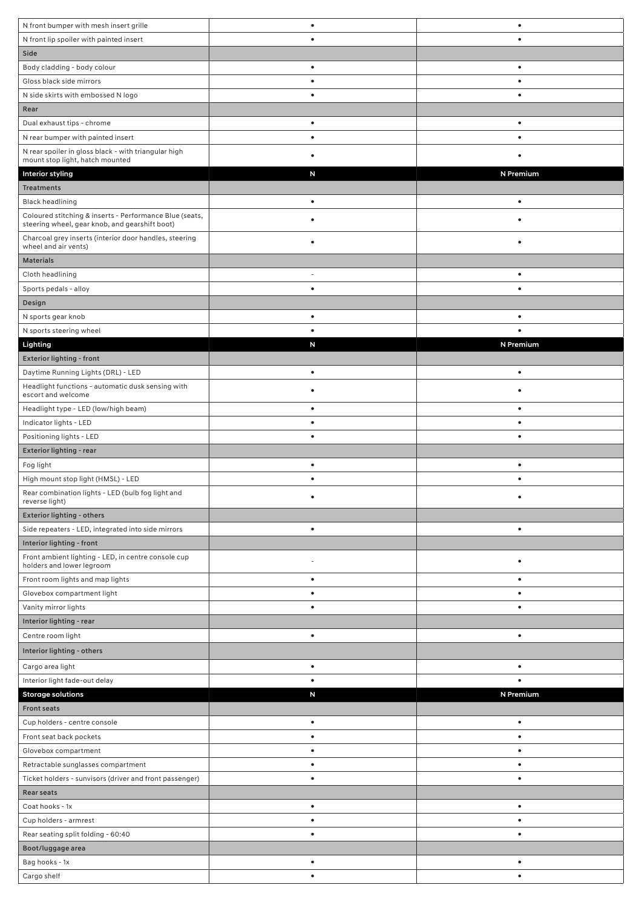| N front bumper with mesh insert grille                                                                    | $\bullet$ | $\bullet$ |
|-----------------------------------------------------------------------------------------------------------|-----------|-----------|
| N front lip spoiler with painted insert                                                                   | $\bullet$ | $\bullet$ |
| Side                                                                                                      |           |           |
| Body cladding - body colour                                                                               | $\bullet$ | $\bullet$ |
| Gloss black side mirrors                                                                                  | $\bullet$ | $\bullet$ |
| N side skirts with embossed N logo                                                                        | $\bullet$ | $\bullet$ |
| Rear                                                                                                      |           |           |
| Dual exhaust tips - chrome                                                                                | $\bullet$ | $\bullet$ |
| N rear bumper with painted insert                                                                         | $\bullet$ | $\bullet$ |
| N rear spoiler in gloss black - with triangular high                                                      |           |           |
| mount stop light, hatch mounted                                                                           |           |           |
| <b>Interior styling</b>                                                                                   | N         | N Premium |
| <b>Treatments</b>                                                                                         |           |           |
| <b>Black headlining</b>                                                                                   | $\bullet$ | $\bullet$ |
| Coloured stitching & inserts - Performance Blue (seats,<br>steering wheel, gear knob, and gearshift boot) |           |           |
| Charcoal grey inserts (interior door handles, steering<br>wheel and air vents)                            | $\bullet$ | $\bullet$ |
| <b>Materials</b>                                                                                          |           |           |
| Cloth headlining                                                                                          |           | $\bullet$ |
| Sports pedals - alloy                                                                                     | $\bullet$ | $\bullet$ |
| Design                                                                                                    |           |           |
| N sports gear knob                                                                                        | $\bullet$ |           |
| N sports steering wheel                                                                                   | $\bullet$ | $\bullet$ |
| Lighting                                                                                                  | N         | N Premium |
| Exterior lighting - front                                                                                 |           |           |
| Daytime Running Lights (DRL) - LED                                                                        | $\bullet$ | $\bullet$ |
| Headlight functions - automatic dusk sensing with<br>escort and welcome                                   |           |           |
| Headlight type - LED (low/high beam)                                                                      | $\bullet$ | $\bullet$ |
| Indicator lights - LED                                                                                    | $\bullet$ | $\bullet$ |
| Positioning lights - LED                                                                                  | $\bullet$ | $\bullet$ |
| Exterior lighting - rear                                                                                  |           |           |
| Fog light                                                                                                 | $\bullet$ | $\bullet$ |
| High mount stop light (HMSL) - LED                                                                        |           | ٠         |
| Rear combination lights - LED (bulb fog light and<br>reverse light)                                       |           |           |
| Exterior lighting - others                                                                                |           |           |
| Side repeaters - LED, integrated into side mirrors                                                        | $\bullet$ | $\bullet$ |
| Interior lighting - front                                                                                 |           |           |
| Front ambient lighting - LED, in centre console cup                                                       |           |           |
| holders and lower legroom                                                                                 |           | $\bullet$ |
| Front room lights and map lights                                                                          | $\bullet$ | $\bullet$ |
| Glovebox compartment light                                                                                | $\bullet$ | ٠         |
| Vanity mirror lights                                                                                      |           |           |
| Interior lighting - rear                                                                                  |           |           |
| Centre room light                                                                                         | $\bullet$ | $\bullet$ |
| Interior lighting - others                                                                                |           |           |
| Cargo area light                                                                                          | $\bullet$ | $\bullet$ |
| Interior light fade-out delay                                                                             | $\bullet$ | $\bullet$ |
| <b>Storage solutions</b>                                                                                  | N         | N Premium |
| <b>Front seats</b>                                                                                        |           |           |
| Cup holders - centre console                                                                              | $\bullet$ | $\bullet$ |
| Front seat back pockets                                                                                   | $\bullet$ | $\bullet$ |
| Glovebox compartment                                                                                      | $\bullet$ | $\bullet$ |
| Retractable sunglasses compartment                                                                        | $\bullet$ | $\bullet$ |
| Ticket holders - sunvisors (driver and front passenger)                                                   | $\bullet$ | $\bullet$ |
| <b>Rear seats</b>                                                                                         |           |           |
| Coat hooks - 1x                                                                                           | $\bullet$ | $\bullet$ |
| Cup holders - armrest                                                                                     | ٠         |           |
| Rear seating split folding - 60:40                                                                        |           |           |
| Boot/luggage area                                                                                         |           |           |
| Bag hooks - 1x                                                                                            |           |           |
|                                                                                                           | $\bullet$ | $\bullet$ |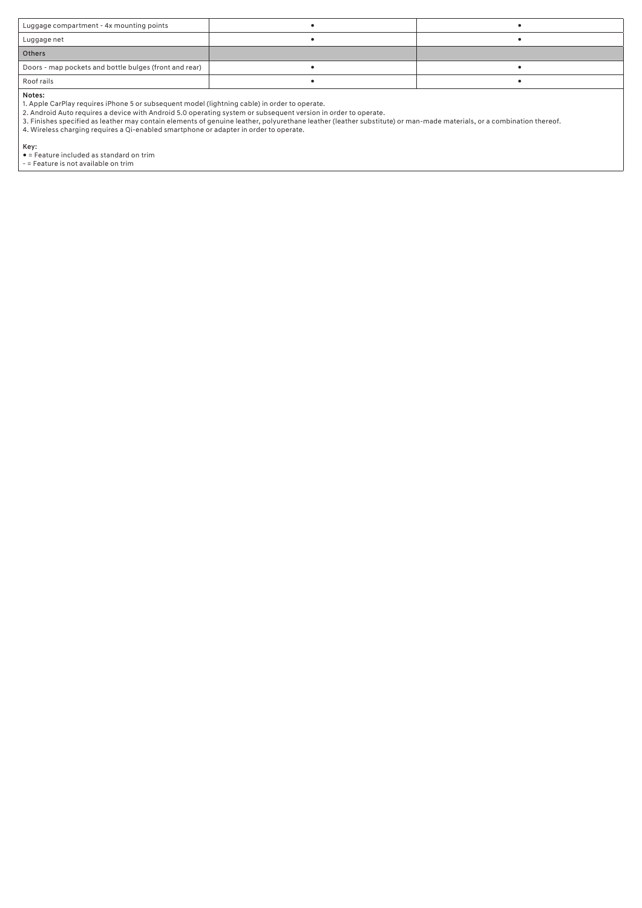| Luggage compartment - 4x mounting points               |  |
|--------------------------------------------------------|--|
| Luggage net                                            |  |
| Others                                                 |  |
| Doors - map pockets and bottle bulges (front and rear) |  |
| Roof rails                                             |  |
| .                                                      |  |

**Notes:**<br>1. Apple CarPlay requires iPhone 5 or subsequent model (lightning cable) in order to operate.<br>2. Android Auto requires a device with Android 5.0 operating system or subsequent version in order to operate.<br>3. Finis

Key: ● = Feature included as standard on trim - = Feature is not available on trim